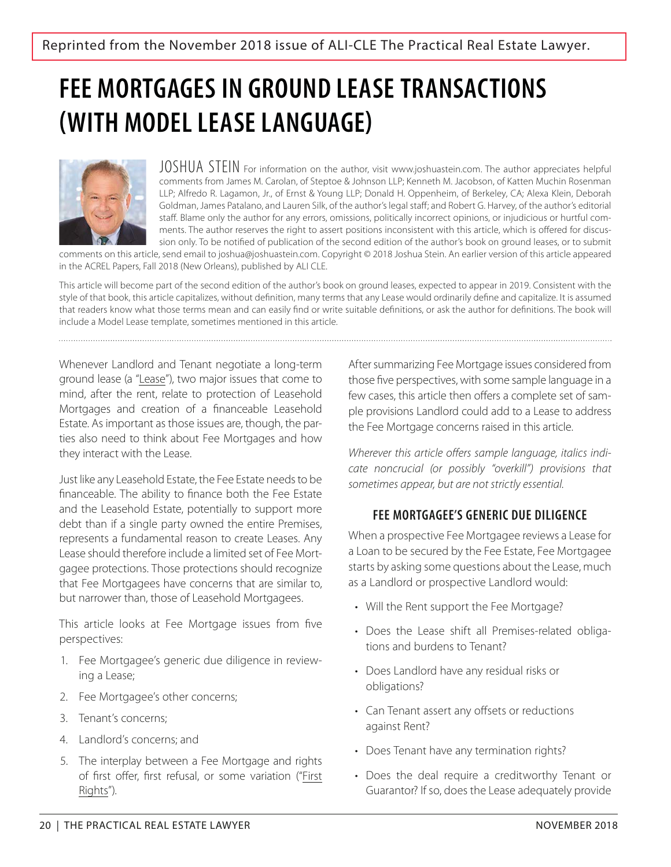# **FEE MORTGAGES IN GROUND LEASE TRANSACTIONS (WITH MODEL LEASE LANGUAGE)**



JOSHUA STEIN For information on the author, visit www.joshuastein.com. The author appreciates helpful comments from James M. Carolan, of Steptoe & Johnson LLP; Kenneth M. Jacobson, of Katten Muchin Rosenman LLP; Alfredo R. Lagamon, Jr., of Ernst & Young LLP; Donald H. Oppenheim, of Berkeley, CA; Alexa Klein, Deborah Goldman, James Patalano, and Lauren Silk, of the author's legal staff; and Robert G. Harvey, of the author's editorial staff. Blame only the author for any errors, omissions, politically incorrect opinions, or injudicious or hurtful comments. The author reserves the right to assert positions inconsistent with this article, which is offered for discussion only. To be notified of publication of the second edition of the author's book on ground leases, or to submit

comments on this article, send email to joshua@joshuastein.com. Copyright © 2018 Joshua Stein. An earlier version of this article appeared in the ACREL Papers, Fall 2018 (New Orleans), published by ALI CLE.

This article will become part of the second edition of the author's book on ground leases, expected to appear in 2019. Consistent with the style of that book, this article capitalizes, without definition, many terms that any Lease would ordinarily define and capitalize. It is assumed that readers know what those terms mean and can easily find or write suitable definitions, or ask the author for definitions. The book will include a Model Lease template, sometimes mentioned in this article.

Whenever Landlord and Tenant negotiate a long-term ground lease (a "Lease"), two major issues that come to mind, after the rent, relate to protection of Leasehold Mortgages and creation of a financeable Leasehold Estate. As important as those issues are, though, the parties also need to think about Fee Mortgages and how they interact with the Lease.

Just like any Leasehold Estate, the Fee Estate needs to be financeable. The ability to finance both the Fee Estate and the Leasehold Estate, potentially to support more debt than if a single party owned the entire Premises, represents a fundamental reason to create Leases. Any Lease should therefore include a limited set of Fee Mortgagee protections. Those protections should recognize that Fee Mortgagees have concerns that are similar to, but narrower than, those of Leasehold Mortgagees.

This article looks at Fee Mortgage issues from five perspectives:

- 1. Fee Mortgagee's generic due diligence in reviewing a Lease;
- 2. Fee Mortgagee's other concerns;
- 3. Tenant's concerns;
- 4. Landlord's concerns; and
- 5. The interplay between a Fee Mortgage and rights of first offer, first refusal, or some variation ("First Rights").

After summarizing Fee Mortgage issues considered from those five perspectives, with some sample language in a few cases, this article then offers a complete set of sample provisions Landlord could add to a Lease to address the Fee Mortgage concerns raised in this article.

Wherever this article offers sample language, italics indicate noncrucial (or possibly "overkill") provisions that sometimes appear, but are not strictly essential.

# **FEE MORTGAGEE'S GENERIC DUE DILIGENCE**

When a prospective Fee Mortgagee reviews a Lease for a Loan to be secured by the Fee Estate, Fee Mortgagee starts by asking some questions about the Lease, much as a Landlord or prospective Landlord would:

- Will the Rent support the Fee Mortgage?
- Does the Lease shift all Premises-related obligations and burdens to Tenant?
- Does Landlord have any residual risks or obligations?
- Can Tenant assert any offsets or reductions against Rent?
- Does Tenant have any termination rights?
- Does the deal require a creditworthy Tenant or Guarantor? If so, does the Lease adequately provide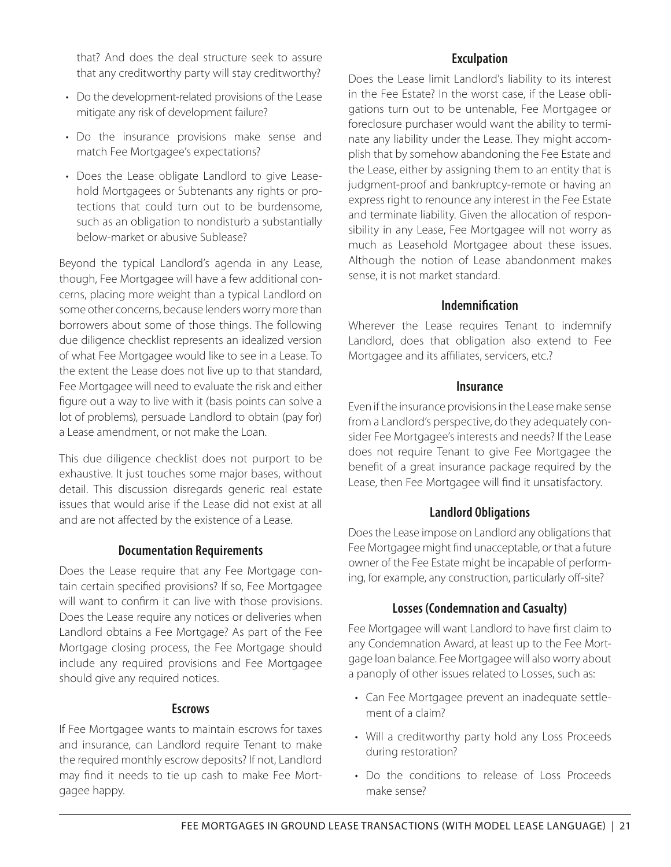that? And does the deal structure seek to assure that any creditworthy party will stay creditworthy?

- Do the development-related provisions of the Lease mitigate any risk of development failure?
- Do the insurance provisions make sense and match Fee Mortgagee's expectations?
- Does the Lease obligate Landlord to give Leasehold Mortgagees or Subtenants any rights or protections that could turn out to be burdensome, such as an obligation to nondisturb a substantially below-market or abusive Sublease?

Beyond the typical Landlord's agenda in any Lease, though, Fee Mortgagee will have a few additional concerns, placing more weight than a typical Landlord on some other concerns, because lenders worry more than borrowers about some of those things. The following due diligence checklist represents an idealized version of what Fee Mortgagee would like to see in a Lease. To the extent the Lease does not live up to that standard, Fee Mortgagee will need to evaluate the risk and either figure out a way to live with it (basis points can solve a lot of problems), persuade Landlord to obtain (pay for) a Lease amendment, or not make the Loan.

This due diligence checklist does not purport to be exhaustive. It just touches some major bases, without detail. This discussion disregards generic real estate issues that would arise if the Lease did not exist at all and are not affected by the existence of a Lease.

#### **Documentation Requirements**

Does the Lease require that any Fee Mortgage contain certain specified provisions? If so, Fee Mortgagee will want to confirm it can live with those provisions. Does the Lease require any notices or deliveries when Landlord obtains a Fee Mortgage? As part of the Fee Mortgage closing process, the Fee Mortgage should include any required provisions and Fee Mortgagee should give any required notices.

#### **Escrows**

If Fee Mortgagee wants to maintain escrows for taxes and insurance, can Landlord require Tenant to make the required monthly escrow deposits? If not, Landlord may find it needs to tie up cash to make Fee Mortgagee happy.

#### **Exculpation**

Does the Lease limit Landlord's liability to its interest in the Fee Estate? In the worst case, if the Lease obligations turn out to be untenable, Fee Mortgagee or foreclosure purchaser would want the ability to terminate any liability under the Lease. They might accomplish that by somehow abandoning the Fee Estate and the Lease, either by assigning them to an entity that is judgment-proof and bankruptcy-remote or having an express right to renounce any interest in the Fee Estate and terminate liability. Given the allocation of responsibility in any Lease, Fee Mortgagee will not worry as much as Leasehold Mortgagee about these issues. Although the notion of Lease abandonment makes sense, it is not market standard.

#### **Indemnification**

Wherever the Lease requires Tenant to indemnify Landlord, does that obligation also extend to Fee Mortgagee and its affiliates, servicers, etc.?

#### **Insurance**

Even if the insurance provisions in the Lease make sense from a Landlord's perspective, do they adequately consider Fee Mortgagee's interests and needs? If the Lease does not require Tenant to give Fee Mortgagee the benefit of a great insurance package required by the Lease, then Fee Mortgagee will find it unsatisfactory.

# **Landlord Obligations**

Does the Lease impose on Landlord any obligations that Fee Mortgagee might find unacceptable, or that a future owner of the Fee Estate might be incapable of performing, for example, any construction, particularly off-site?

# **Losses (Condemnation and Casualty)**

Fee Mortgagee will want Landlord to have first claim to any Condemnation Award, at least up to the Fee Mortgage loan balance. Fee Mortgagee will also worry about a panoply of other issues related to Losses, such as:

- Can Fee Mortgagee prevent an inadequate settlement of a claim?
- Will a creditworthy party hold any Loss Proceeds during restoration?
- Do the conditions to release of Loss Proceeds make sense?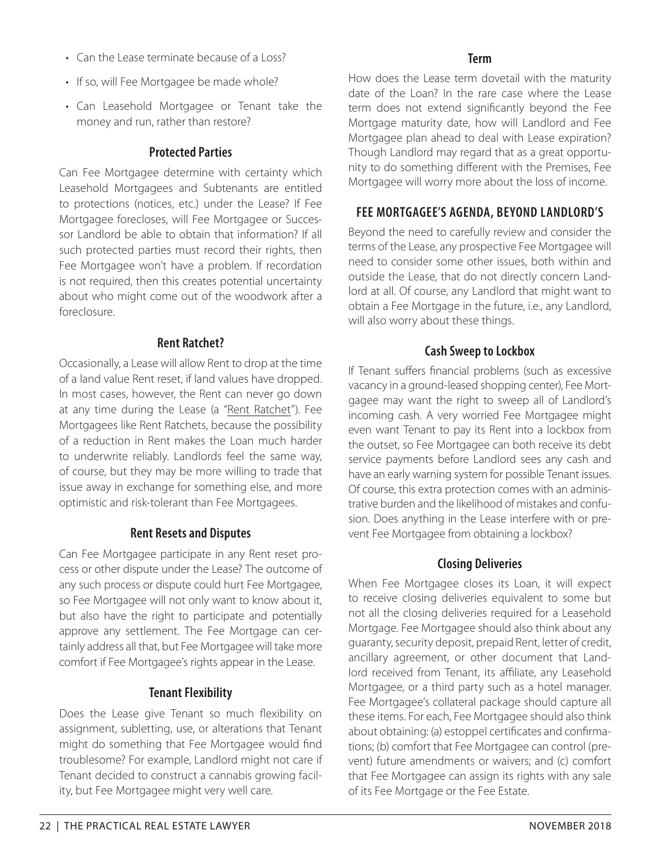- Can the Lease terminate because of a Loss?
- If so, will Fee Mortgagee be made whole?
- Can Leasehold Mortgagee or Tenant take the money and run, rather than restore?

# **Protected Parties**

Can Fee Mortgagee determine with certainty which Leasehold Mortgagees and Subtenants are entitled to protections (notices, etc.) under the Lease? If Fee Mortgagee forecloses, will Fee Mortgagee or Successor Landlord be able to obtain that information? If all such protected parties must record their rights, then Fee Mortgagee won't have a problem. If recordation is not required, then this creates potential uncertainty about who might come out of the woodwork after a foreclosure.

# **Rent Ratchet?**

Occasionally, a Lease will allow Rent to drop at the time of a land value Rent reset, if land values have dropped. In most cases, however, the Rent can never go down at any time during the Lease (a "Rent Ratchet"). Fee Mortgagees like Rent Ratchets, because the possibility of a reduction in Rent makes the Loan much harder to underwrite reliably. Landlords feel the same way, of course, but they may be more willing to trade that issue away in exchange for something else, and more optimistic and risk-tolerant than Fee Mortgagees.

# **Rent Resets and Disputes**

Can Fee Mortgagee participate in any Rent reset process or other dispute under the Lease? The outcome of any such process or dispute could hurt Fee Mortgagee, so Fee Mortgagee will not only want to know about it, but also have the right to participate and potentially approve any settlement. The Fee Mortgage can certainly address all that, but Fee Mortgagee will take more comfort if Fee Mortgagee's rights appear in the Lease.

# **Tenant Flexibility**

Does the Lease give Tenant so much flexibility on assignment, subletting, use, or alterations that Tenant might do something that Fee Mortgagee would find troublesome? For example, Landlord might not care if Tenant decided to construct a cannabis growing facility, but Fee Mortgagee might very well care.

# **Term**

How does the Lease term dovetail with the maturity date of the Loan? In the rare case where the Lease term does not extend significantly beyond the Fee Mortgage maturity date, how will Landlord and Fee Mortgagee plan ahead to deal with Lease expiration? Though Landlord may regard that as a great opportunity to do something different with the Premises, Fee Mortgagee will worry more about the loss of income.

# **FEE MORTGAGEE'S AGENDA, BEYOND LANDLORD'S**

Beyond the need to carefully review and consider the terms of the Lease, any prospective Fee Mortgagee will need to consider some other issues, both within and outside the Lease, that do not directly concern Landlord at all. Of course, any Landlord that might want to obtain a Fee Mortgage in the future, i.e., any Landlord, will also worry about these things.

# **Cash Sweep to Lockbox**

If Tenant suffers financial problems (such as excessive vacancy in a ground-leased shopping center), Fee Mortgagee may want the right to sweep all of Landlord's incoming cash. A very worried Fee Mortgagee might even want Tenant to pay its Rent into a lockbox from the outset, so Fee Mortgagee can both receive its debt service payments before Landlord sees any cash and have an early warning system for possible Tenant issues. Of course, this extra protection comes with an administrative burden and the likelihood of mistakes and confusion. Does anything in the Lease interfere with or prevent Fee Mortgagee from obtaining a lockbox?

# **Closing Deliveries**

When Fee Mortgagee closes its Loan, it will expect to receive closing deliveries equivalent to some but not all the closing deliveries required for a Leasehold Mortgage. Fee Mortgagee should also think about any guaranty, security deposit, prepaid Rent, letter of credit, ancillary agreement, or other document that Landlord received from Tenant, its affiliate, any Leasehold Mortgagee, or a third party such as a hotel manager. Fee Mortgagee's collateral package should capture all these items. For each, Fee Mortgagee should also think about obtaining: (a) estoppel certificates and confirmations; (b) comfort that Fee Mortgagee can control (prevent) future amendments or waivers; and (c) comfort that Fee Mortgagee can assign its rights with any sale of its Fee Mortgage or the Fee Estate.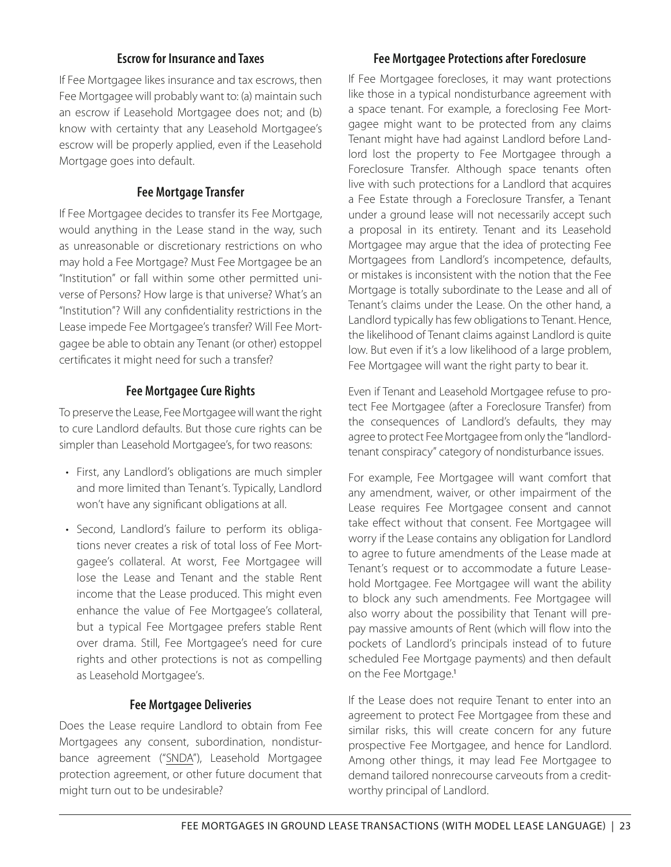#### **Escrow for Insurance and Taxes**

If Fee Mortgagee likes insurance and tax escrows, then Fee Mortgagee will probably want to: (a) maintain such an escrow if Leasehold Mortgagee does not; and (b) know with certainty that any Leasehold Mortgagee's escrow will be properly applied, even if the Leasehold Mortgage goes into default.

# **Fee Mortgage Transfer**

If Fee Mortgagee decides to transfer its Fee Mortgage, would anything in the Lease stand in the way, such as unreasonable or discretionary restrictions on who may hold a Fee Mortgage? Must Fee Mortgagee be an "Institution" or fall within some other permitted universe of Persons? How large is that universe? What's an "Institution"? Will any confidentiality restrictions in the Lease impede Fee Mortgagee's transfer? Will Fee Mortgagee be able to obtain any Tenant (or other) estoppel certificates it might need for such a transfer?

#### **Fee Mortgagee Cure Rights**

To preserve the Lease, Fee Mortgagee will want the right to cure Landlord defaults. But those cure rights can be simpler than Leasehold Mortgagee's, for two reasons:

- First, any Landlord's obligations are much simpler and more limited than Tenant's. Typically, Landlord won't have any significant obligations at all.
- Second, Landlord's failure to perform its obligations never creates a risk of total loss of Fee Mortgagee's collateral. At worst, Fee Mortgagee will lose the Lease and Tenant and the stable Rent income that the Lease produced. This might even enhance the value of Fee Mortgagee's collateral, but a typical Fee Mortgagee prefers stable Rent over drama. Still, Fee Mortgagee's need for cure rights and other protections is not as compelling as Leasehold Mortgagee's.

#### **Fee Mortgagee Deliveries**

Does the Lease require Landlord to obtain from Fee Mortgagees any consent, subordination, nondisturbance agreement ("SNDA"), Leasehold Mortgagee protection agreement, or other future document that might turn out to be undesirable?

#### **Fee Mortgagee Protections after Foreclosure**

If Fee Mortgagee forecloses, it may want protections like those in a typical nondisturbance agreement with a space tenant. For example, a foreclosing Fee Mortgagee might want to be protected from any claims Tenant might have had against Landlord before Landlord lost the property to Fee Mortgagee through a Foreclosure Transfer. Although space tenants often live with such protections for a Landlord that acquires a Fee Estate through a Foreclosure Transfer, a Tenant under a ground lease will not necessarily accept such a proposal in its entirety. Tenant and its Leasehold Mortgagee may argue that the idea of protecting Fee Mortgagees from Landlord's incompetence, defaults, or mistakes is inconsistent with the notion that the Fee Mortgage is totally subordinate to the Lease and all of Tenant's claims under the Lease. On the other hand, a Landlord typically has few obligations to Tenant. Hence, the likelihood of Tenant claims against Landlord is quite low. But even if it's a low likelihood of a large problem, Fee Mortgagee will want the right party to bear it.

Even if Tenant and Leasehold Mortgagee refuse to protect Fee Mortgagee (after a Foreclosure Transfer) from the consequences of Landlord's defaults, they may agree to protect Fee Mortgagee from only the "landlordtenant conspiracy" category of nondisturbance issues.

For example, Fee Mortgagee will want comfort that any amendment, waiver, or other impairment of the Lease requires Fee Mortgagee consent and cannot take effect without that consent. Fee Mortgagee will worry if the Lease contains any obligation for Landlord to agree to future amendments of the Lease made at Tenant's request or to accommodate a future Leasehold Mortgagee. Fee Mortgagee will want the ability to block any such amendments. Fee Mortgagee will also worry about the possibility that Tenant will prepay massive amounts of Rent (which will flow into the pockets of Landlord's principals instead of to future scheduled Fee Mortgage payments) and then default on the Fee Mortgage.<sup>1</sup>

If the Lease does not require Tenant to enter into an agreement to protect Fee Mortgagee from these and similar risks, this will create concern for any future prospective Fee Mortgagee, and hence for Landlord. Among other things, it may lead Fee Mortgagee to demand tailored nonrecourse carveouts from a creditworthy principal of Landlord.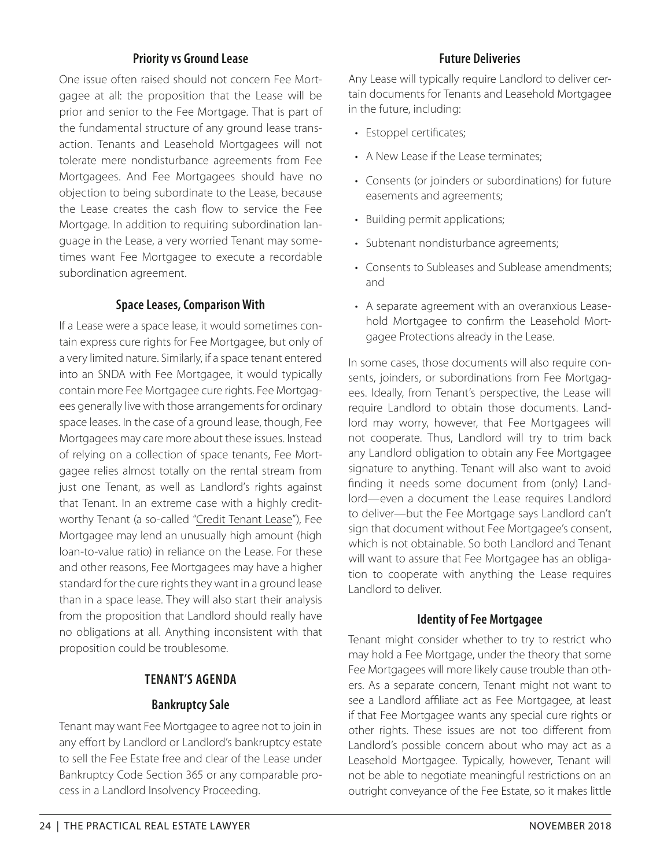## **Priority vs Ground Lease**

One issue often raised should not concern Fee Mortgagee at all: the proposition that the Lease will be prior and senior to the Fee Mortgage. That is part of the fundamental structure of any ground lease transaction. Tenants and Leasehold Mortgagees will not tolerate mere nondisturbance agreements from Fee Mortgagees. And Fee Mortgagees should have no objection to being subordinate to the Lease, because the Lease creates the cash flow to service the Fee Mortgage. In addition to requiring subordination language in the Lease, a very worried Tenant may sometimes want Fee Mortgagee to execute a recordable subordination agreement.

#### **Space Leases, Comparison With**

If a Lease were a space lease, it would sometimes contain express cure rights for Fee Mortgagee, but only of a very limited nature. Similarly, if a space tenant entered into an SNDA with Fee Mortgagee, it would typically contain more Fee Mortgagee cure rights. Fee Mortgagees generally live with those arrangements for ordinary space leases. In the case of a ground lease, though, Fee Mortgagees may care more about these issues. Instead of relying on a collection of space tenants, Fee Mortgagee relies almost totally on the rental stream from just one Tenant, as well as Landlord's rights against that Tenant. In an extreme case with a highly creditworthy Tenant (a so-called "Credit Tenant Lease"), Fee Mortgagee may lend an unusually high amount (high loan-to-value ratio) in reliance on the Lease. For these and other reasons, Fee Mortgagees may have a higher standard for the cure rights they want in a ground lease than in a space lease. They will also start their analysis from the proposition that Landlord should really have no obligations at all. Anything inconsistent with that proposition could be troublesome.

#### **TENANT'S AGENDA**

#### **Bankruptcy Sale**

Tenant may want Fee Mortgagee to agree not to join in any effort by Landlord or Landlord's bankruptcy estate to sell the Fee Estate free and clear of the Lease under Bankruptcy Code Section 365 or any comparable process in a Landlord Insolvency Proceeding.

#### **Future Deliveries**

Any Lease will typically require Landlord to deliver certain documents for Tenants and Leasehold Mortgagee in the future, including:

- Estoppel certificates;
- A New Lease if the Lease terminates;
- Consents (or joinders or subordinations) for future easements and agreements;
- Building permit applications;
- Subtenant nondisturbance agreements;
- Consents to Subleases and Sublease amendments; and
- A separate agreement with an overanxious Leasehold Mortgagee to confirm the Leasehold Mortgagee Protections already in the Lease.

In some cases, those documents will also require consents, joinders, or subordinations from Fee Mortgagees. Ideally, from Tenant's perspective, the Lease will require Landlord to obtain those documents. Landlord may worry, however, that Fee Mortgagees will not cooperate. Thus, Landlord will try to trim back any Landlord obligation to obtain any Fee Mortgagee signature to anything. Tenant will also want to avoid finding it needs some document from (only) Landlord—even a document the Lease requires Landlord to deliver—but the Fee Mortgage says Landlord can't sign that document without Fee Mortgagee's consent, which is not obtainable. So both Landlord and Tenant will want to assure that Fee Mortgagee has an obligation to cooperate with anything the Lease requires Landlord to deliver.

#### **Identity of Fee Mortgagee**

Tenant might consider whether to try to restrict who may hold a Fee Mortgage, under the theory that some Fee Mortgagees will more likely cause trouble than others. As a separate concern, Tenant might not want to see a Landlord affiliate act as Fee Mortgagee, at least if that Fee Mortgagee wants any special cure rights or other rights. These issues are not too different from Landlord's possible concern about who may act as a Leasehold Mortgagee. Typically, however, Tenant will not be able to negotiate meaningful restrictions on an outright conveyance of the Fee Estate, so it makes little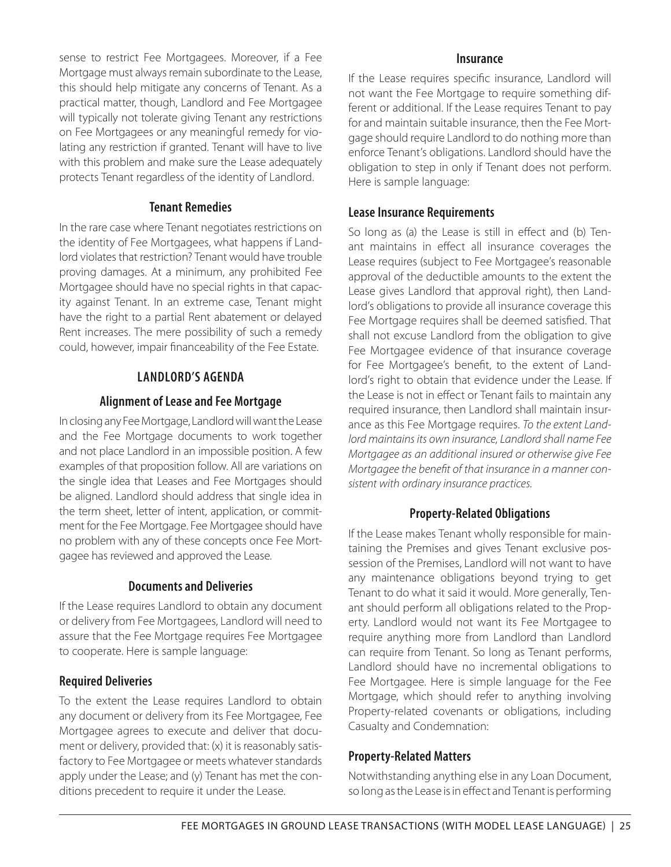sense to restrict Fee Mortgagees. Moreover, if a Fee Mortgage must always remain subordinate to the Lease, this should help mitigate any concerns of Tenant. As a practical matter, though, Landlord and Fee Mortgagee will typically not tolerate giving Tenant any restrictions on Fee Mortgagees or any meaningful remedy for violating any restriction if granted. Tenant will have to live with this problem and make sure the Lease adequately protects Tenant regardless of the identity of Landlord.

#### **Tenant Remedies**

In the rare case where Tenant negotiates restrictions on the identity of Fee Mortgagees, what happens if Landlord violates that restriction? Tenant would have trouble proving damages. At a minimum, any prohibited Fee Mortgagee should have no special rights in that capacity against Tenant. In an extreme case, Tenant might have the right to a partial Rent abatement or delayed Rent increases. The mere possibility of such a remedy could, however, impair financeability of the Fee Estate.

#### **LANDLORD'S AGENDA**

#### **Alignment of Lease and Fee Mortgage**

In closing any Fee Mortgage, Landlord will want the Lease and the Fee Mortgage documents to work together and not place Landlord in an impossible position. A few examples of that proposition follow. All are variations on the single idea that Leases and Fee Mortgages should be aligned. Landlord should address that single idea in the term sheet, letter of intent, application, or commitment for the Fee Mortgage. Fee Mortgagee should have no problem with any of these concepts once Fee Mortgagee has reviewed and approved the Lease.

#### **Documents and Deliveries**

If the Lease requires Landlord to obtain any document or delivery from Fee Mortgagees, Landlord will need to assure that the Fee Mortgage requires Fee Mortgagee to cooperate. Here is sample language:

#### **Required Deliveries**

To the extent the Lease requires Landlord to obtain any document or delivery from its Fee Mortgagee, Fee Mortgagee agrees to execute and deliver that document or delivery, provided that: (x) it is reasonably satisfactory to Fee Mortgagee or meets whatever standards apply under the Lease; and (y) Tenant has met the conditions precedent to require it under the Lease.

#### **Insurance**

If the Lease requires specific insurance, Landlord will not want the Fee Mortgage to require something different or additional. If the Lease requires Tenant to pay for and maintain suitable insurance, then the Fee Mortgage should require Landlord to do nothing more than enforce Tenant's obligations. Landlord should have the obligation to step in only if Tenant does not perform. Here is sample language:

#### **Lease Insurance Requirements**

So long as (a) the Lease is still in effect and (b) Tenant maintains in effect all insurance coverages the Lease requires (subject to Fee Mortgagee's reasonable approval of the deductible amounts to the extent the Lease gives Landlord that approval right), then Landlord's obligations to provide all insurance coverage this Fee Mortgage requires shall be deemed satisfied. That shall not excuse Landlord from the obligation to give Fee Mortgagee evidence of that insurance coverage for Fee Mortgagee's benefit, to the extent of Landlord's right to obtain that evidence under the Lease. If the Lease is not in effect or Tenant fails to maintain any required insurance, then Landlord shall maintain insurance as this Fee Mortgage requires. To the extent Landlord maintains its own insurance, Landlord shall name Fee Mortgagee as an additional insured or otherwise give Fee Mortgagee the benefit of that insurance in a manner consistent with ordinary insurance practices.

#### **Property-Related Obligations**

If the Lease makes Tenant wholly responsible for maintaining the Premises and gives Tenant exclusive possession of the Premises, Landlord will not want to have any maintenance obligations beyond trying to get Tenant to do what it said it would. More generally, Tenant should perform all obligations related to the Property. Landlord would not want its Fee Mortgagee to require anything more from Landlord than Landlord can require from Tenant. So long as Tenant performs, Landlord should have no incremental obligations to Fee Mortgagee. Here is simple language for the Fee Mortgage, which should refer to anything involving Property-related covenants or obligations, including Casualty and Condemnation:

#### **Property-Related Matters**

Notwithstanding anything else in any Loan Document, so long as the Lease is in effect and Tenant is performing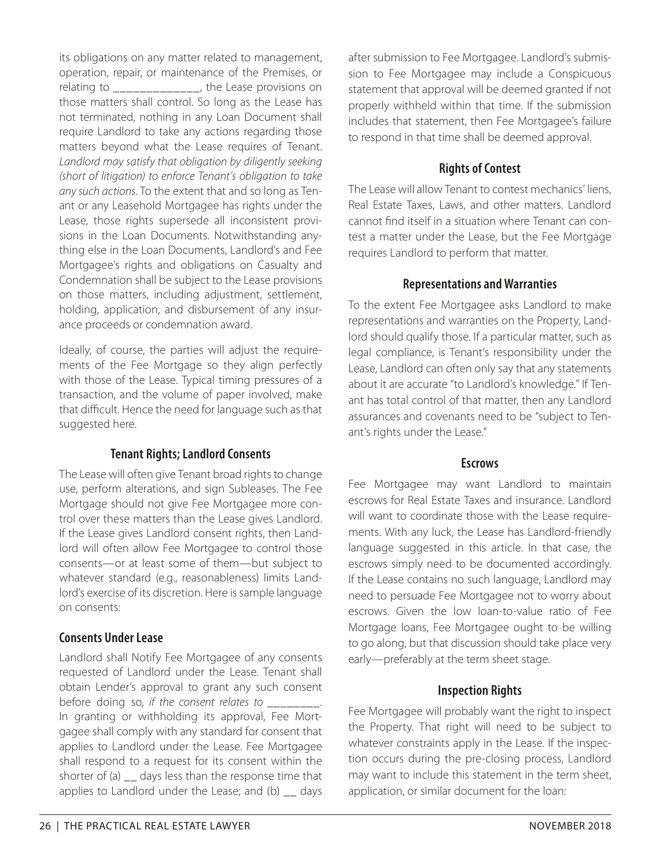its obligations on any matter related to management, operation, repair, or maintenance of the Premises, or relating to \_\_\_\_\_\_\_\_\_\_\_\_\_, the Lease provisions on those matters shall control. So long as the Lease has not terminated, nothing in any Loan Document shall require Landlord to take any actions regarding those matters beyond what the Lease requires of Tenant. Landlord may satisfy that obligation by diligently seeking (short of litigation) to enforce Tenant's obligation to take any such actions. To the extent that and so long as Tenant or any Leasehold Mortgagee has rights under the Lease, those rights supersede all inconsistent provisions in the Loan Documents. Notwithstanding anything else in the Loan Documents, Landlord's and Fee Mortgagee's rights and obligations on Casualty and Condemnation shall be subject to the Lease provisions on those matters, including adjustment, settlement, holding, application, and disbursement of any insurance proceeds or condemnation award.

Ideally, of course, the parties will adjust the requirements of the Fee Mortgage so they align perfectly with those of the Lease. Typical timing pressures of a transaction, and the volume of paper involved, make that difficult. Hence the need for language such as that suggested here.

#### **Tenant Rights; Landlord Consents**

The Lease will often give Tenant broad rights to change use, perform alterations, and sign Subleases. The Fee Mortgage should not give Fee Mortgagee more control over these matters than the Lease gives Landlord. If the Lease gives Landlord consent rights, then Landlord will often allow Fee Mortgagee to control those consents—or at least some of them—but subject to whatever standard (e.g., reasonableness) limits Landlord's exercise of its discretion. Here is sample language on consents:

# **Consents Under Lease**

Landlord shall Notify Fee Mortgagee of any consents requested of Landlord under the Lease. Tenant shall obtain Lender's approval to grant any such consent before doing so, if the consent relates to \_\_\_\_\_\_\_\_. In granting or withholding its approval, Fee Mortgagee shall comply with any standard for consent that applies to Landlord under the Lease. Fee Mortgagee shall respond to a request for its consent within the shorter of (a)  $\overline{\phantom{a}}$  days less than the response time that applies to Landlord under the Lease; and  $(b)$   $\overline{\phantom{a}}$  days

after submission to Fee Mortgagee. Landlord's submission to Fee Mortgagee may include a Conspicuous statement that approval will be deemed granted if not properly withheld within that time. If the submission includes that statement, then Fee Mortgagee's failure to respond in that time shall be deemed approval.

# **Rights of Contest**

The Lease will allow Tenant to contest mechanics' liens, Real Estate Taxes, Laws, and other matters. Landlord cannot find itself in a situation where Tenant can contest a matter under the Lease, but the Fee Mortgage requires Landlord to perform that matter.

# **Representations and Warranties**

To the extent Fee Mortgagee asks Landlord to make representations and warranties on the Property, Landlord should qualify those. If a particular matter, such as legal compliance, is Tenant's responsibility under the Lease, Landlord can often only say that any statements about it are accurate "to Landlord's knowledge." If Tenant has total control of that matter, then any Landlord assurances and covenants need to be "subject to Tenant's rights under the Lease."

#### **Escrows**

Fee Mortgagee may want Landlord to maintain escrows for Real Estate Taxes and insurance. Landlord will want to coordinate those with the Lease requirements. With any luck, the Lease has Landlord-friendly language suggested in this article. In that case, the escrows simply need to be documented accordingly. If the Lease contains no such language, Landlord may need to persuade Fee Mortgagee not to worry about escrows. Given the low loan-to-value ratio of Fee Mortgage loans, Fee Mortgagee ought to be willing to go along, but that discussion should take place very early—preferably at the term sheet stage.

# **Inspection Rights**

Fee Mortgagee will probably want the right to inspect the Property. That right will need to be subject to whatever constraints apply in the Lease. If the inspection occurs during the pre-closing process, Landlord may want to include this statement in the term sheet, application, or similar document for the loan: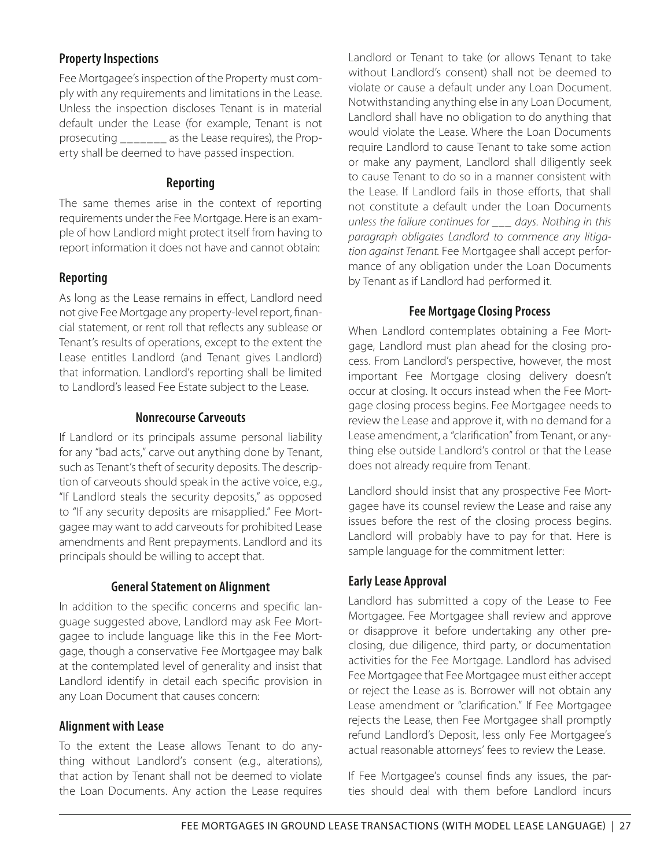# **Property Inspections**

Fee Mortgagee's inspection of the Property must comply with any requirements and limitations in the Lease. Unless the inspection discloses Tenant is in material default under the Lease (for example, Tenant is not prosecuting \_\_\_\_\_\_\_ as the Lease requires), the Property shall be deemed to have passed inspection.

#### **Reporting**

The same themes arise in the context of reporting requirements under the Fee Mortgage. Here is an example of how Landlord might protect itself from having to report information it does not have and cannot obtain:

# **Reporting**

As long as the Lease remains in effect, Landlord need not give Fee Mortgage any property-level report, financial statement, or rent roll that reflects any sublease or Tenant's results of operations, except to the extent the Lease entitles Landlord (and Tenant gives Landlord) that information. Landlord's reporting shall be limited to Landlord's leased Fee Estate subject to the Lease.

#### **Nonrecourse Carveouts**

If Landlord or its principals assume personal liability for any "bad acts," carve out anything done by Tenant, such as Tenant's theft of security deposits. The description of carveouts should speak in the active voice, e.g., "If Landlord steals the security deposits," as opposed to "If any security deposits are misapplied." Fee Mortgagee may want to add carveouts for prohibited Lease amendments and Rent prepayments. Landlord and its principals should be willing to accept that.

#### **General Statement on Alignment**

In addition to the specific concerns and specific language suggested above, Landlord may ask Fee Mortgagee to include language like this in the Fee Mortgage, though a conservative Fee Mortgagee may balk at the contemplated level of generality and insist that Landlord identify in detail each specific provision in any Loan Document that causes concern:

#### **Alignment with Lease**

To the extent the Lease allows Tenant to do anything without Landlord's consent (e.g., alterations), that action by Tenant shall not be deemed to violate the Loan Documents. Any action the Lease requires

Landlord or Tenant to take (or allows Tenant to take without Landlord's consent) shall not be deemed to violate or cause a default under any Loan Document. Notwithstanding anything else in any Loan Document, Landlord shall have no obligation to do anything that would violate the Lease. Where the Loan Documents require Landlord to cause Tenant to take some action or make any payment, Landlord shall diligently seek to cause Tenant to do so in a manner consistent with the Lease. If Landlord fails in those efforts, that shall not constitute a default under the Loan Documents unless the failure continues for days. Nothing in this paragraph obligates Landlord to commence any litigation against Tenant. Fee Mortgagee shall accept performance of any obligation under the Loan Documents by Tenant as if Landlord had performed it.

# **Fee Mortgage Closing Process**

When Landlord contemplates obtaining a Fee Mortgage, Landlord must plan ahead for the closing process. From Landlord's perspective, however, the most important Fee Mortgage closing delivery doesn't occur at closing. It occurs instead when the Fee Mortgage closing process begins. Fee Mortgagee needs to review the Lease and approve it, with no demand for a Lease amendment, a "clarification" from Tenant, or anything else outside Landlord's control or that the Lease does not already require from Tenant.

Landlord should insist that any prospective Fee Mortgagee have its counsel review the Lease and raise any issues before the rest of the closing process begins. Landlord will probably have to pay for that. Here is sample language for the commitment letter:

# **Early Lease Approval**

Landlord has submitted a copy of the Lease to Fee Mortgagee. Fee Mortgagee shall review and approve or disapprove it before undertaking any other preclosing, due diligence, third party, or documentation activities for the Fee Mortgage. Landlord has advised Fee Mortgagee that Fee Mortgagee must either accept or reject the Lease as is. Borrower will not obtain any Lease amendment or "clarification." If Fee Mortgagee rejects the Lease, then Fee Mortgagee shall promptly refund Landlord's Deposit, less only Fee Mortgagee's actual reasonable attorneys' fees to review the Lease.

If Fee Mortgagee's counsel finds any issues, the parties should deal with them before Landlord incurs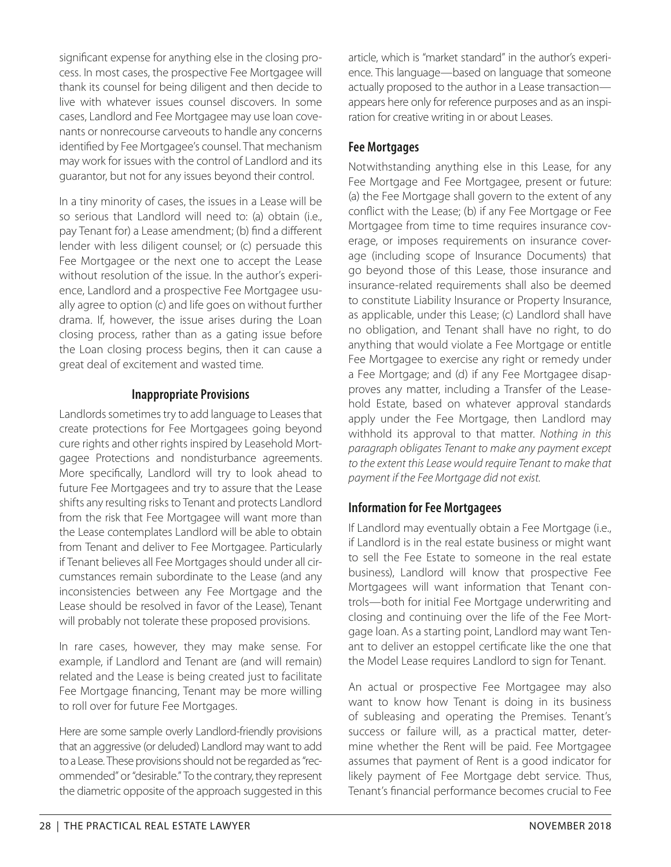significant expense for anything else in the closing process. In most cases, the prospective Fee Mortgagee will thank its counsel for being diligent and then decide to live with whatever issues counsel discovers. In some cases, Landlord and Fee Mortgagee may use loan covenants or nonrecourse carveouts to handle any concerns identified by Fee Mortgagee's counsel. That mechanism may work for issues with the control of Landlord and its guarantor, but not for any issues beyond their control.

In a tiny minority of cases, the issues in a Lease will be so serious that Landlord will need to: (a) obtain (i.e., pay Tenant for) a Lease amendment; (b) find a different lender with less diligent counsel; or (c) persuade this Fee Mortgagee or the next one to accept the Lease without resolution of the issue. In the author's experience, Landlord and a prospective Fee Mortgagee usually agree to option (c) and life goes on without further drama. If, however, the issue arises during the Loan closing process, rather than as a gating issue before the Loan closing process begins, then it can cause a great deal of excitement and wasted time.

# **Inappropriate Provisions**

Landlords sometimes try to add language to Leases that create protections for Fee Mortgagees going beyond cure rights and other rights inspired by Leasehold Mortgagee Protections and nondisturbance agreements. More specifically, Landlord will try to look ahead to future Fee Mortgagees and try to assure that the Lease shifts any resulting risks to Tenant and protects Landlord from the risk that Fee Mortgagee will want more than the Lease contemplates Landlord will be able to obtain from Tenant and deliver to Fee Mortgagee. Particularly if Tenant believes all Fee Mortgages should under all circumstances remain subordinate to the Lease (and any inconsistencies between any Fee Mortgage and the Lease should be resolved in favor of the Lease), Tenant will probably not tolerate these proposed provisions.

In rare cases, however, they may make sense. For example, if Landlord and Tenant are (and will remain) related and the Lease is being created just to facilitate Fee Mortgage financing, Tenant may be more willing to roll over for future Fee Mortgages.

Here are some sample overly Landlord-friendly provisions that an aggressive (or deluded) Landlord may want to add to a Lease. These provisions should not be regarded as "recommended" or "desirable." To the contrary, they represent the diametric opposite of the approach suggested in this article, which is "market standard" in the author's experience. This language—based on language that someone actually proposed to the author in a Lease transaction appears here only for reference purposes and as an inspiration for creative writing in or about Leases.

# **Fee Mortgages**

Notwithstanding anything else in this Lease, for any Fee Mortgage and Fee Mortgagee, present or future: (a) the Fee Mortgage shall govern to the extent of any conflict with the Lease; (b) if any Fee Mortgage or Fee Mortgagee from time to time requires insurance coverage, or imposes requirements on insurance coverage (including scope of Insurance Documents) that go beyond those of this Lease, those insurance and insurance-related requirements shall also be deemed to constitute Liability Insurance or Property Insurance, as applicable, under this Lease; (c) Landlord shall have no obligation, and Tenant shall have no right, to do anything that would violate a Fee Mortgage or entitle Fee Mortgagee to exercise any right or remedy under a Fee Mortgage; and (d) if any Fee Mortgagee disapproves any matter, including a Transfer of the Leasehold Estate, based on whatever approval standards apply under the Fee Mortgage, then Landlord may withhold its approval to that matter. Nothing in this paragraph obligates Tenant to make any payment except to the extent this Lease would require Tenant to make that payment if the Fee Mortgage did not exist.

# **Information for Fee Mortgagees**

If Landlord may eventually obtain a Fee Mortgage (i.e., if Landlord is in the real estate business or might want to sell the Fee Estate to someone in the real estate business), Landlord will know that prospective Fee Mortgagees will want information that Tenant controls—both for initial Fee Mortgage underwriting and closing and continuing over the life of the Fee Mortgage loan. As a starting point, Landlord may want Tenant to deliver an estoppel certificate like the one that the Model Lease requires Landlord to sign for Tenant.

An actual or prospective Fee Mortgagee may also want to know how Tenant is doing in its business of subleasing and operating the Premises. Tenant's success or failure will, as a practical matter, determine whether the Rent will be paid. Fee Mortgagee assumes that payment of Rent is a good indicator for likely payment of Fee Mortgage debt service. Thus, Tenant's financial performance becomes crucial to Fee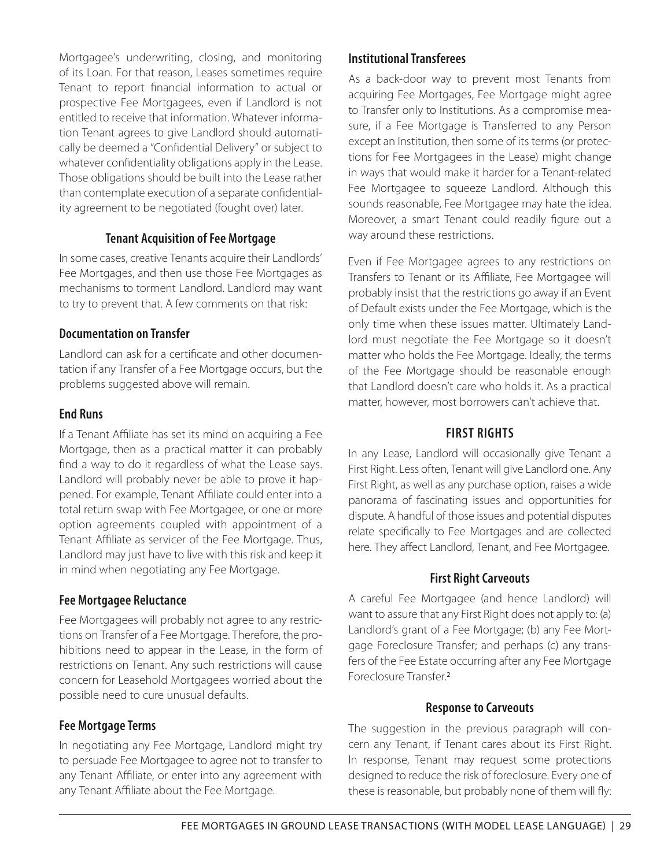Mortgagee's underwriting, closing, and monitoring of its Loan. For that reason, Leases sometimes require Tenant to report financial information to actual or prospective Fee Mortgagees, even if Landlord is not entitled to receive that information. Whatever information Tenant agrees to give Landlord should automatically be deemed a "Confidential Delivery" or subject to whatever confidentiality obligations apply in the Lease. Those obligations should be built into the Lease rather than contemplate execution of a separate confidentiality agreement to be negotiated (fought over) later.

#### **Tenant Acquisition of Fee Mortgage**

In some cases, creative Tenants acquire their Landlords' Fee Mortgages, and then use those Fee Mortgages as mechanisms to torment Landlord. Landlord may want to try to prevent that. A few comments on that risk:

#### **Documentation on Transfer**

Landlord can ask for a certificate and other documentation if any Transfer of a Fee Mortgage occurs, but the problems suggested above will remain.

#### **End Runs**

If a Tenant Affiliate has set its mind on acquiring a Fee Mortgage, then as a practical matter it can probably find a way to do it regardless of what the Lease says. Landlord will probably never be able to prove it happened. For example, Tenant Affiliate could enter into a total return swap with Fee Mortgagee, or one or more option agreements coupled with appointment of a Tenant Affiliate as servicer of the Fee Mortgage. Thus, Landlord may just have to live with this risk and keep it in mind when negotiating any Fee Mortgage.

#### **Fee Mortgagee Reluctance**

Fee Mortgagees will probably not agree to any restrictions on Transfer of a Fee Mortgage. Therefore, the prohibitions need to appear in the Lease, in the form of restrictions on Tenant. Any such restrictions will cause concern for Leasehold Mortgagees worried about the possible need to cure unusual defaults.

#### **Fee Mortgage Terms**

In negotiating any Fee Mortgage, Landlord might try to persuade Fee Mortgagee to agree not to transfer to any Tenant Affiliate, or enter into any agreement with any Tenant Affiliate about the Fee Mortgage.

#### **Institutional Transferees**

As a back-door way to prevent most Tenants from acquiring Fee Mortgages, Fee Mortgage might agree to Transfer only to Institutions. As a compromise measure, if a Fee Mortgage is Transferred to any Person except an Institution, then some of its terms (or protections for Fee Mortgagees in the Lease) might change in ways that would make it harder for a Tenant-related Fee Mortgagee to squeeze Landlord. Although this sounds reasonable, Fee Mortgagee may hate the idea. Moreover, a smart Tenant could readily figure out a way around these restrictions.

Even if Fee Mortgagee agrees to any restrictions on Transfers to Tenant or its Affiliate, Fee Mortgagee will probably insist that the restrictions go away if an Event of Default exists under the Fee Mortgage, which is the only time when these issues matter. Ultimately Landlord must negotiate the Fee Mortgage so it doesn't matter who holds the Fee Mortgage. Ideally, the terms of the Fee Mortgage should be reasonable enough that Landlord doesn't care who holds it. As a practical matter, however, most borrowers can't achieve that.

#### **FIRST RIGHTS**

In any Lease, Landlord will occasionally give Tenant a First Right. Less often, Tenant will give Landlord one. Any First Right, as well as any purchase option, raises a wide panorama of fascinating issues and opportunities for dispute. A handful of those issues and potential disputes relate specifically to Fee Mortgages and are collected here. They affect Landlord, Tenant, and Fee Mortgagee.

#### **First Right Carveouts**

A careful Fee Mortgagee (and hence Landlord) will want to assure that any First Right does not apply to: (a) Landlord's grant of a Fee Mortgage; (b) any Fee Mortgage Foreclosure Transfer; and perhaps (c) any transfers of the Fee Estate occurring after any Fee Mortgage Foreclosure Transfer<sup>2</sup>

#### **Response to Carveouts**

The suggestion in the previous paragraph will concern any Tenant, if Tenant cares about its First Right. In response, Tenant may request some protections designed to reduce the risk of foreclosure. Every one of these is reasonable, but probably none of them will fly: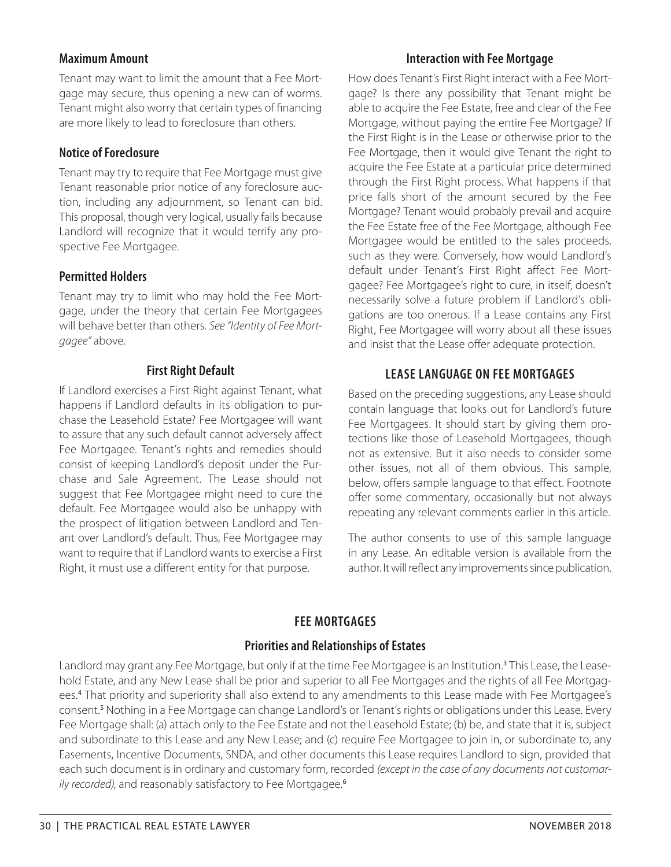#### **Maximum Amount**

Tenant may want to limit the amount that a Fee Mortgage may secure, thus opening a new can of worms. Tenant might also worry that certain types of financing are more likely to lead to foreclosure than others.

#### **Notice of Foreclosure**

Tenant may try to require that Fee Mortgage must give Tenant reasonable prior notice of any foreclosure auction, including any adjournment, so Tenant can bid. This proposal, though very logical, usually fails because Landlord will recognize that it would terrify any prospective Fee Mortgagee.

#### **Permitted Holders**

Tenant may try to limit who may hold the Fee Mortgage, under the theory that certain Fee Mortgagees will behave better than others. See "Identity of Fee Mortgagee" above.

#### **First Right Default**

If Landlord exercises a First Right against Tenant, what happens if Landlord defaults in its obligation to purchase the Leasehold Estate? Fee Mortgagee will want to assure that any such default cannot adversely affect Fee Mortgagee. Tenant's rights and remedies should consist of keeping Landlord's deposit under the Purchase and Sale Agreement. The Lease should not suggest that Fee Mortgagee might need to cure the default. Fee Mortgagee would also be unhappy with the prospect of litigation between Landlord and Tenant over Landlord's default. Thus, Fee Mortgagee may want to require that if Landlord wants to exercise a First Right, it must use a different entity for that purpose.

#### **Interaction with Fee Mortgage**

How does Tenant's First Right interact with a Fee Mortgage? Is there any possibility that Tenant might be able to acquire the Fee Estate, free and clear of the Fee Mortgage, without paying the entire Fee Mortgage? If the First Right is in the Lease or otherwise prior to the Fee Mortgage, then it would give Tenant the right to acquire the Fee Estate at a particular price determined through the First Right process. What happens if that price falls short of the amount secured by the Fee Mortgage? Tenant would probably prevail and acquire the Fee Estate free of the Fee Mortgage, although Fee Mortgagee would be entitled to the sales proceeds, such as they were. Conversely, how would Landlord's default under Tenant's First Right affect Fee Mortgagee? Fee Mortgagee's right to cure, in itself, doesn't necessarily solve a future problem if Landlord's obligations are too onerous. If a Lease contains any First Right, Fee Mortgagee will worry about all these issues and insist that the Lease offer adequate protection.

# **LEASE LANGUAGE ON FEE MORTGAGES**

Based on the preceding suggestions, any Lease should contain language that looks out for Landlord's future Fee Mortgagees. It should start by giving them protections like those of Leasehold Mortgagees, though not as extensive. But it also needs to consider some other issues, not all of them obvious. This sample, below, offers sample language to that effect. Footnote offer some commentary, occasionally but not always repeating any relevant comments earlier in this article.

The author consents to use of this sample language in any Lease. An editable version is available from the author. It will reflect any improvements since publication.

# **FEE MORTGAGES**

#### **Priorities and Relationships of Estates**

Landlord may grant any Fee Mortgage, but only if at the time Fee Mortgagee is an Institution.<sup>3</sup> This Lease, the Leasehold Estate, and any New Lease shall be prior and superior to all Fee Mortgages and the rights of all Fee Mortgagees.<sup>4</sup> That priority and superiority shall also extend to any amendments to this Lease made with Fee Mortgagee's consent.<sup>5</sup> Nothing in a Fee Mortgage can change Landlord's or Tenant's rights or obligations under this Lease. Every Fee Mortgage shall: (a) attach only to the Fee Estate and not the Leasehold Estate; (b) be, and state that it is, subject and subordinate to this Lease and any New Lease; and (c) require Fee Mortgagee to join in, or subordinate to, any Easements, Incentive Documents, SNDA, and other documents this Lease requires Landlord to sign, provided that each such document is in ordinary and customary form, recorded (except in the case of any documents not customarily recorded), and reasonably satisfactory to Fee Mortgagee.<sup>6</sup>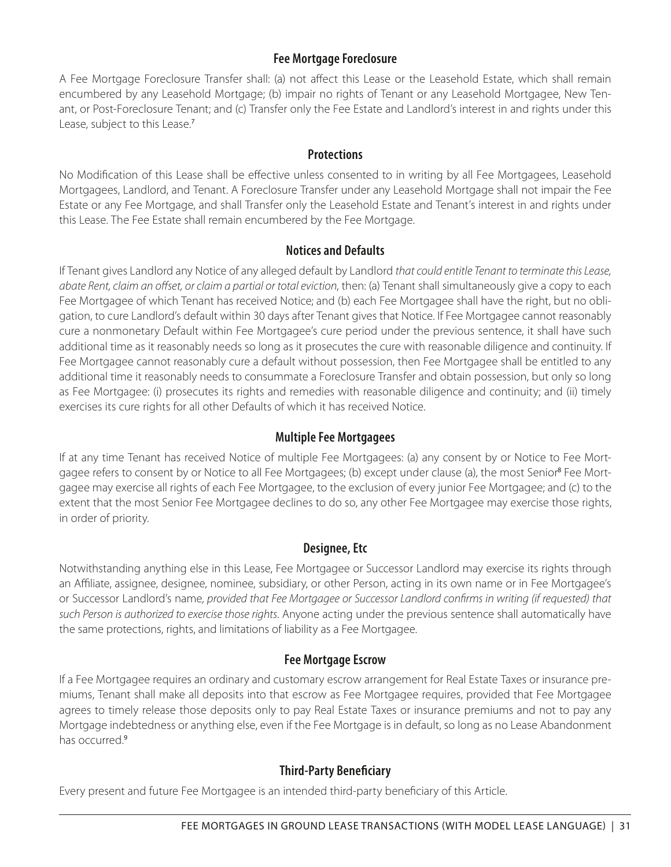## **Fee Mortgage Foreclosure**

A Fee Mortgage Foreclosure Transfer shall: (a) not affect this Lease or the Leasehold Estate, which shall remain encumbered by any Leasehold Mortgage; (b) impair no rights of Tenant or any Leasehold Mortgagee, New Tenant, or Post-Foreclosure Tenant; and (c) Transfer only the Fee Estate and Landlord's interest in and rights under this Lease, subject to this Lease.<sup>7</sup>

#### **Protections**

No Modification of this Lease shall be effective unless consented to in writing by all Fee Mortgagees, Leasehold Mortgagees, Landlord, and Tenant. A Foreclosure Transfer under any Leasehold Mortgage shall not impair the Fee Estate or any Fee Mortgage, and shall Transfer only the Leasehold Estate and Tenant's interest in and rights under this Lease. The Fee Estate shall remain encumbered by the Fee Mortgage.

#### **Notices and Defaults**

If Tenant gives Landlord any Notice of any alleged default by Landlord that could entitle Tenant to terminate this Lease, abate Rent, claim an offset, or claim a partial or total eviction, then: (a) Tenant shall simultaneously give a copy to each Fee Mortgagee of which Tenant has received Notice; and (b) each Fee Mortgagee shall have the right, but no obligation, to cure Landlord's default within 30 days after Tenant gives that Notice. If Fee Mortgagee cannot reasonably cure a nonmonetary Default within Fee Mortgagee's cure period under the previous sentence, it shall have such additional time as it reasonably needs so long as it prosecutes the cure with reasonable diligence and continuity. If Fee Mortgagee cannot reasonably cure a default without possession, then Fee Mortgagee shall be entitled to any additional time it reasonably needs to consummate a Foreclosure Transfer and obtain possession, but only so long as Fee Mortgagee: (i) prosecutes its rights and remedies with reasonable diligence and continuity; and (ii) timely exercises its cure rights for all other Defaults of which it has received Notice.

#### **Multiple Fee Mortgagees**

If at any time Tenant has received Notice of multiple Fee Mortgagees: (a) any consent by or Notice to Fee Mortgagee refers to consent by or Notice to all Fee Mortgagees; (b) except under clause (a), the most Senior<sup>8</sup> Fee Mortgagee may exercise all rights of each Fee Mortgagee, to the exclusion of every junior Fee Mortgagee; and (c) to the extent that the most Senior Fee Mortgagee declines to do so, any other Fee Mortgagee may exercise those rights, in order of priority.

#### **Designee, Etc**

Notwithstanding anything else in this Lease, Fee Mortgagee or Successor Landlord may exercise its rights through an Affiliate, assignee, designee, nominee, subsidiary, or other Person, acting in its own name or in Fee Mortgagee's or Successor Landlord's name, provided that Fee Mortgagee or Successor Landlord confirms in writing (if requested) that such Person is authorized to exercise those rights. Anyone acting under the previous sentence shall automatically have the same protections, rights, and limitations of liability as a Fee Mortgagee.

#### **Fee Mortgage Escrow**

If a Fee Mortgagee requires an ordinary and customary escrow arrangement for Real Estate Taxes or insurance premiums, Tenant shall make all deposits into that escrow as Fee Mortgagee requires, provided that Fee Mortgagee agrees to timely release those deposits only to pay Real Estate Taxes or insurance premiums and not to pay any Mortgage indebtedness or anything else, even if the Fee Mortgage is in default, so long as no Lease Abandonment has occurred.<sup>9</sup>

#### **Third-Party Beneficiary**

Every present and future Fee Mortgagee is an intended third-party beneficiary of this Article.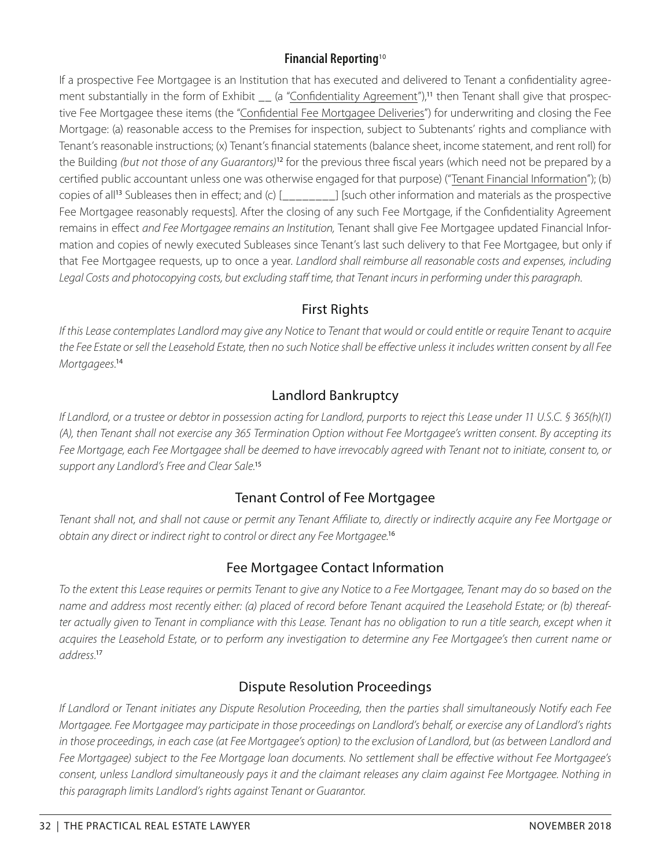# **Financial Reporting**<sup>10</sup>

If a prospective Fee Mortgagee is an Institution that has executed and delivered to Tenant a confidentiality agreement substantially in the form of Exhibit \_ (a "Confidentiality Agreement"),<sup>11</sup> then Tenant shall give that prospective Fee Mortgagee these items (the "Confidential Fee Mortgagee Deliveries") for underwriting and closing the Fee Mortgage: (a) reasonable access to the Premises for inspection, subject to Subtenants' rights and compliance with Tenant's reasonable instructions; (x) Tenant's financial statements (balance sheet, income statement, and rent roll) for the Building (but not those of any Guarantors)<sup>12</sup> for the previous three fiscal years (which need not be prepared by a certified public accountant unless one was otherwise engaged for that purpose) ("Tenant Financial Information"); (b) copies of all<sup>13</sup> Subleases then in effect; and (c)  $\lceil \cdot \cdot \cdot \rceil$  [such other information and materials as the prospective Fee Mortgagee reasonably requests]. After the closing of any such Fee Mortgage, if the Confidentiality Agreement remains in effect and Fee Mortgagee remains an Institution, Tenant shall give Fee Mortgagee updated Financial Information and copies of newly executed Subleases since Tenant's last such delivery to that Fee Mortgagee, but only if that Fee Mortgagee requests, up to once a year. Landlord shall reimburse all reasonable costs and expenses, including Legal Costs and photocopying costs, but excluding staff time, that Tenant incurs in performing under this paragraph.

# First Rights

If this Lease contemplates Landlord may give any Notice to Tenant that would or could entitle or require Tenant to acquire the Fee Estate or sell the Leasehold Estate, then no such Notice shall be effective unless it includes written consent by all Fee Mortgagees.<sup>14</sup>

# Landlord Bankruptcy

If Landlord, or a trustee or debtor in possession acting for Landlord, purports to reject this Lease under 11 U.S.C. § 365(h)(1) (A), then Tenant shall not exercise any 365 Termination Option without Fee Mortgagee's written consent. By accepting its Fee Mortgage, each Fee Mortgagee shall be deemed to have irrevocably agreed with Tenant not to initiate, consent to, or support any Landlord's Free and Clear Sale.<sup>15</sup>

# Tenant Control of Fee Mortgagee

Tenant shall not, and shall not cause or permit any Tenant Affiliate to, directly or indirectly acquire any Fee Mortgage or obtain any direct or indirect right to control or direct any Fee Mortgagee.<sup>16</sup>

# Fee Mortgagee Contact Information

To the extent this Lease requires or permits Tenant to give any Notice to a Fee Mortgagee, Tenant may do so based on the name and address most recently either: (a) placed of record before Tenant acquired the Leasehold Estate; or (b) thereafter actually given to Tenant in compliance with this Lease. Tenant has no obligation to run a title search, except when it acquires the Leasehold Estate, or to perform any investigation to determine any Fee Mortgagee's then current name or address.<sup>17</sup>

# Dispute Resolution Proceedings

If Landlord or Tenant initiates any Dispute Resolution Proceeding, then the parties shall simultaneously Notify each Fee Mortgagee. Fee Mortgagee may participate in those proceedings on Landlord's behalf, or exercise any of Landlord's rights in those proceedings, in each case (at Fee Mortgagee's option) to the exclusion of Landlord, but (as between Landlord and Fee Mortgagee) subject to the Fee Mortgage loan documents. No settlement shall be effective without Fee Mortgagee's consent, unless Landlord simultaneously pays it and the claimant releases any claim against Fee Mortgagee. Nothing in this paragraph limits Landlord's rights against Tenant or Guarantor.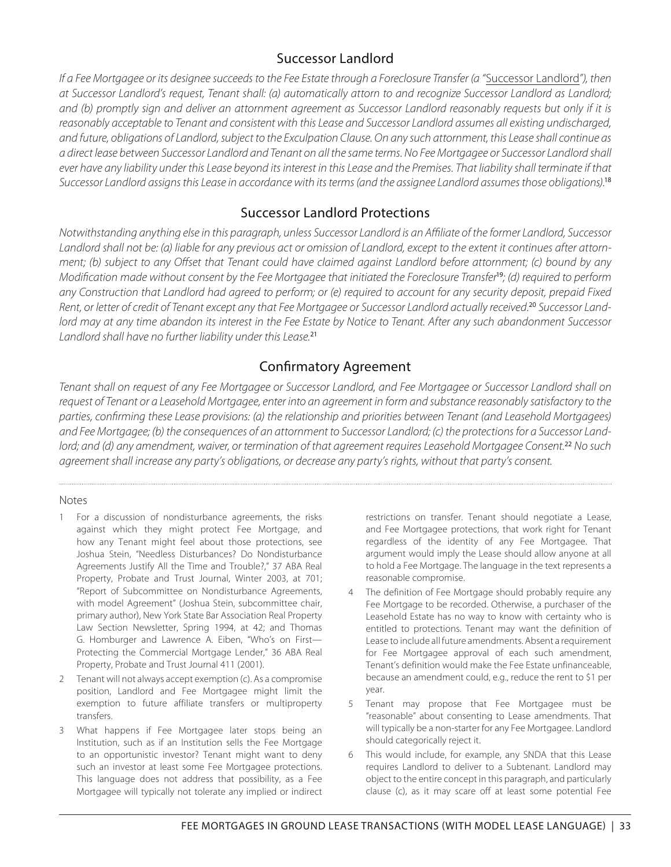# Successor Landlord

If a Fee Mortgagee or its designee succeeds to the Fee Estate through a Foreclosure Transfer (a "Successor Landlord"), then at Successor Landlord's request, Tenant shall: (a) automatically attorn to and recognize Successor Landlord as Landlord; and (b) promptly sign and deliver an attornment agreement as Successor Landlord reasonably requests but only if it is reasonably acceptable to Tenant and consistent with this Lease and Successor Landlord assumes all existing undischarged, and future, obligations of Landlord, subject to the Exculpation Clause. On any such attornment, this Lease shall continue as a direct lease between Successor Landlord and Tenant on all the same terms. No Fee Mortgagee or Successor Landlord shall ever have any liability under this Lease beyond its interest in this Lease and the Premises. That liability shall terminate if that Successor Landlord assigns this Lease in accordance with its terms (and the assignee Landlord assumes those obligations).<sup>18</sup>

# Successor Landlord Protections

Notwithstanding anything else in this paragraph, unless Successor Landlord is an Affiliate of the former Landlord, Successor Landlord shall not be: (a) liable for any previous act or omission of Landlord, except to the extent it continues after attornment; (b) subject to any Offset that Tenant could have claimed against Landlord before attornment; (c) bound by any Modification made without consent by the Fee Mortgagee that initiated the Foreclosure Transfer<sup>19</sup>; (d) required to perform any Construction that Landlord had agreed to perform; or (e) required to account for any security deposit, prepaid Fixed Rent, or letter of credit of Tenant except any that Fee Mortgagee or Successor Landlord actually received.<sup>20</sup> Successor Landlord may at any time abandon its interest in the Fee Estate by Notice to Tenant. After any such abandonment Successor Landlord shall have no further liability under this Lease.<sup>21</sup>

# Confirmatory Agreement

Tenant shall on request of any Fee Mortgagee or Successor Landlord, and Fee Mortgagee or Successor Landlord shall on request of Tenant or a Leasehold Mortgagee, enter into an agreement in form and substance reasonably satisfactory to the parties, confirming these Lease provisions: (a) the relationship and priorities between Tenant (and Leasehold Mortgagees) and Fee Mortgagee; (b) the consequences of an attornment to Successor Landlord; (c) the protections for a Successor Landlord; and (d) any amendment, waiver, or termination of that agreement requires Leasehold Mortgagee Consent.<sup>22</sup> No such agreement shall increase any party's obligations, or decrease any party's rights, without that party's consent.

#### Notes

- 1 For a discussion of nondisturbance agreements, the risks against which they might protect Fee Mortgage, and how any Tenant might feel about those protections, see Joshua Stein, "Needless Disturbances? Do Nondisturbance Agreements Justify All the Time and Trouble?," 37 ABA Real Property, Probate and Trust Journal, Winter 2003, at 701; "Report of Subcommittee on Nondisturbance Agreements, with model Agreement" (Joshua Stein, subcommittee chair, primary author), New York State Bar Association Real Property Law Section Newsletter, Spring 1994, at 42; and Thomas G. Homburger and Lawrence A. Eiben, "Who's on First— Protecting the Commercial Mortgage Lender," 36 ABA Real Property, Probate and Trust Journal 411 (2001).
- 2 Tenant will not always accept exemption (c). As a compromise position, Landlord and Fee Mortgagee might limit the exemption to future affiliate transfers or multiproperty transfers.
- 3 What happens if Fee Mortgagee later stops being an Institution, such as if an Institution sells the Fee Mortgage to an opportunistic investor? Tenant might want to deny such an investor at least some Fee Mortgagee protections. This language does not address that possibility, as a Fee Mortgagee will typically not tolerate any implied or indirect

restrictions on transfer. Tenant should negotiate a Lease, and Fee Mortgagee protections, that work right for Tenant regardless of the identity of any Fee Mortgagee. That argument would imply the Lease should allow anyone at all to hold a Fee Mortgage. The language in the text represents a reasonable compromise.

- The definition of Fee Mortgage should probably require any Fee Mortgage to be recorded. Otherwise, a purchaser of the Leasehold Estate has no way to know with certainty who is entitled to protections. Tenant may want the definition of Lease to include all future amendments. Absent a requirement for Fee Mortgagee approval of each such amendment, Tenant's definition would make the Fee Estate unfinanceable, because an amendment could, e.g., reduce the rent to \$1 per year.
- 5 Tenant may propose that Fee Mortgagee must be "reasonable" about consenting to Lease amendments. That will typically be a non-starter for any Fee Mortgagee. Landlord should categorically reject it.
- 6 This would include, for example, any SNDA that this Lease requires Landlord to deliver to a Subtenant. Landlord may object to the entire concept in this paragraph, and particularly clause (c), as it may scare off at least some potential Fee